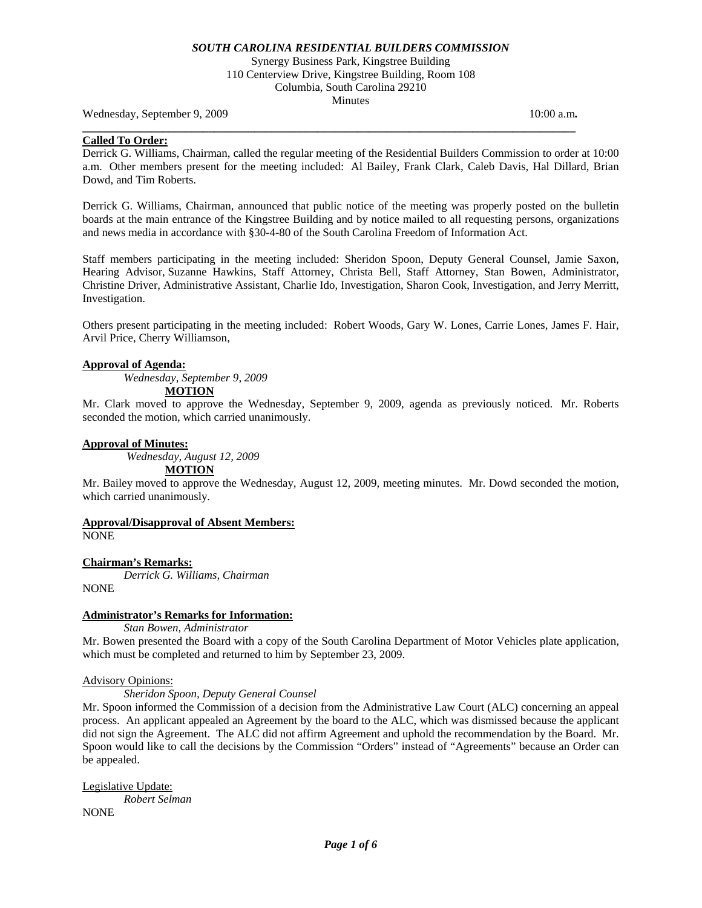Synergy Business Park, Kingstree Building 110 Centerview Drive, Kingstree Building, Room 108 Columbia, South Carolina 29210 Minutes

**\_\_\_\_\_\_\_\_\_\_\_\_\_\_\_\_\_\_\_\_\_\_\_\_\_\_\_\_\_\_\_\_\_\_\_\_\_\_\_\_\_\_\_\_\_\_\_\_\_\_\_\_\_\_\_\_\_\_\_\_\_\_\_\_\_\_\_\_\_\_\_\_\_\_\_\_\_\_\_\_\_\_\_\_\_\_** 

Wednesday, September 9, 2009 10:00 a.m. **10:00 a.m. 10:00 a.m. 10:00 a.m.** 

## **Called To Order:**

Derrick G. Williams, Chairman, called the regular meeting of the Residential Builders Commission to order at 10:00 a.m. Other members present for the meeting included: Al Bailey, Frank Clark, Caleb Davis, Hal Dillard, Brian Dowd, and Tim Roberts.

Derrick G. Williams, Chairman, announced that public notice of the meeting was properly posted on the bulletin boards at the main entrance of the Kingstree Building and by notice mailed to all requesting persons, organizations and news media in accordance with §30-4-80 of the South Carolina Freedom of Information Act.

Staff members participating in the meeting included: Sheridon Spoon, Deputy General Counsel, Jamie Saxon, Hearing Advisor, Suzanne Hawkins, Staff Attorney, Christa Bell, Staff Attorney, Stan Bowen, Administrator, Christine Driver, Administrative Assistant, Charlie Ido, Investigation, Sharon Cook, Investigation, and Jerry Merritt, Investigation.

Others present participating in the meeting included: Robert Woods, Gary W. Lones, Carrie Lones, James F. Hair, Arvil Price, Cherry Williamson,

## **Approval of Agenda:**

*Wednesday, September 9, 2009* 

# **MOTION**

Mr. Clark moved to approve the Wednesday, September 9, 2009, agenda as previously noticed. Mr. Roberts seconded the motion, which carried unanimously.

#### **Approval of Minutes:**

*Wednesday, August 12, 2009* 

**MOTION**

Mr. Bailey moved to approve the Wednesday, August 12, 2009, meeting minutes. Mr. Dowd seconded the motion, which carried unanimously.

#### **Approval/Disapproval of Absent Members:** NONE

**Chairman's Remarks:** 

*Derrick G. Williams, Chairman*  NONE

## **Administrator's Remarks for Information:**

 *Stan Bowen, Administrator* 

Mr. Bowen presented the Board with a copy of the South Carolina Department of Motor Vehicles plate application, which must be completed and returned to him by September 23, 2009.

# Advisory Opinions:

*Sheridon Spoon, Deputy General Counsel* 

Mr. Spoon informed the Commission of a decision from the Administrative Law Court (ALC) concerning an appeal process. An applicant appealed an Agreement by the board to the ALC, which was dismissed because the applicant did not sign the Agreement. The ALC did not affirm Agreement and uphold the recommendation by the Board. Mr. Spoon would like to call the decisions by the Commission "Orders" instead of "Agreements" because an Order can be appealed.

Legislative Update: *Robert Selman*  NONE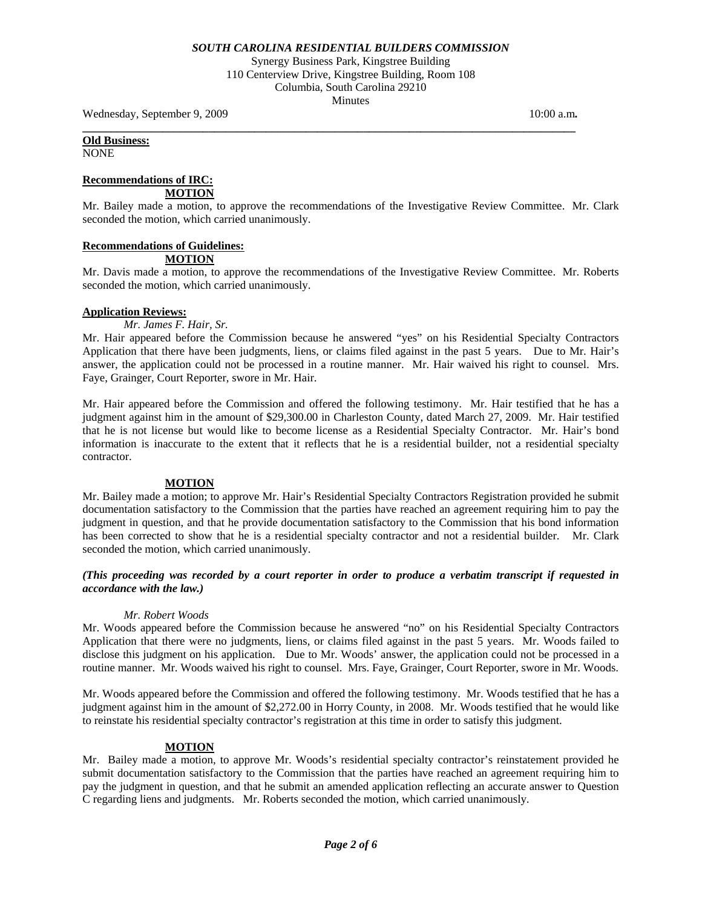Synergy Business Park, Kingstree Building 110 Centerview Drive, Kingstree Building, Room 108 Columbia, South Carolina 29210 Minutes

**\_\_\_\_\_\_\_\_\_\_\_\_\_\_\_\_\_\_\_\_\_\_\_\_\_\_\_\_\_\_\_\_\_\_\_\_\_\_\_\_\_\_\_\_\_\_\_\_\_\_\_\_\_\_\_\_\_\_\_\_\_\_\_\_\_\_\_\_\_\_\_\_\_\_\_\_\_\_\_\_\_\_\_\_\_\_** 

Wednesday, September 9, 2009 10:00 a.m. **10:00 a.m. 10:00 a.m. 10:00 a.m.** 

**Old Business:** NONE

# **Recommendations of IRC:**

**MOTION**

Mr. Bailey made a motion, to approve the recommendations of the Investigative Review Committee. Mr. Clark seconded the motion, which carried unanimously.

# **Recommendations of Guidelines:**

# **MOTION**

Mr. Davis made a motion, to approve the recommendations of the Investigative Review Committee. Mr. Roberts seconded the motion, which carried unanimously.

## **Application Reviews:**

 *Mr. James F. Hair, Sr.* 

Mr. Hair appeared before the Commission because he answered "yes" on his Residential Specialty Contractors Application that there have been judgments, liens, or claims filed against in the past 5 years. Due to Mr. Hair's answer, the application could not be processed in a routine manner. Mr. Hair waived his right to counsel. Mrs. Faye, Grainger, Court Reporter, swore in Mr. Hair.

Mr. Hair appeared before the Commission and offered the following testimony. Mr. Hair testified that he has a judgment against him in the amount of \$29,300.00 in Charleston County, dated March 27, 2009. Mr. Hair testified that he is not license but would like to become license as a Residential Specialty Contractor. Mr. Hair's bond information is inaccurate to the extent that it reflects that he is a residential builder, not a residential specialty contractor.

# **MOTION**

Mr. Bailey made a motion; to approve Mr. Hair's Residential Specialty Contractors Registration provided he submit documentation satisfactory to the Commission that the parties have reached an agreement requiring him to pay the judgment in question, and that he provide documentation satisfactory to the Commission that his bond information has been corrected to show that he is a residential specialty contractor and not a residential builder. Mr. Clark seconded the motion, which carried unanimously.

# *(This proceeding was recorded by a court reporter in order to produce a verbatim transcript if requested in accordance with the law.)*

## *Mr. Robert Woods*

Mr. Woods appeared before the Commission because he answered "no" on his Residential Specialty Contractors Application that there were no judgments, liens, or claims filed against in the past 5 years. Mr. Woods failed to disclose this judgment on his application. Due to Mr. Woods' answer, the application could not be processed in a routine manner. Mr. Woods waived his right to counsel. Mrs. Faye, Grainger, Court Reporter, swore in Mr. Woods.

Mr. Woods appeared before the Commission and offered the following testimony. Mr. Woods testified that he has a judgment against him in the amount of \$2,272.00 in Horry County, in 2008. Mr. Woods testified that he would like to reinstate his residential specialty contractor's registration at this time in order to satisfy this judgment.

# **MOTION**

Mr. Bailey made a motion, to approve Mr. Woods's residential specialty contractor's reinstatement provided he submit documentation satisfactory to the Commission that the parties have reached an agreement requiring him to pay the judgment in question, and that he submit an amended application reflecting an accurate answer to Question C regarding liens and judgments. Mr. Roberts seconded the motion, which carried unanimously.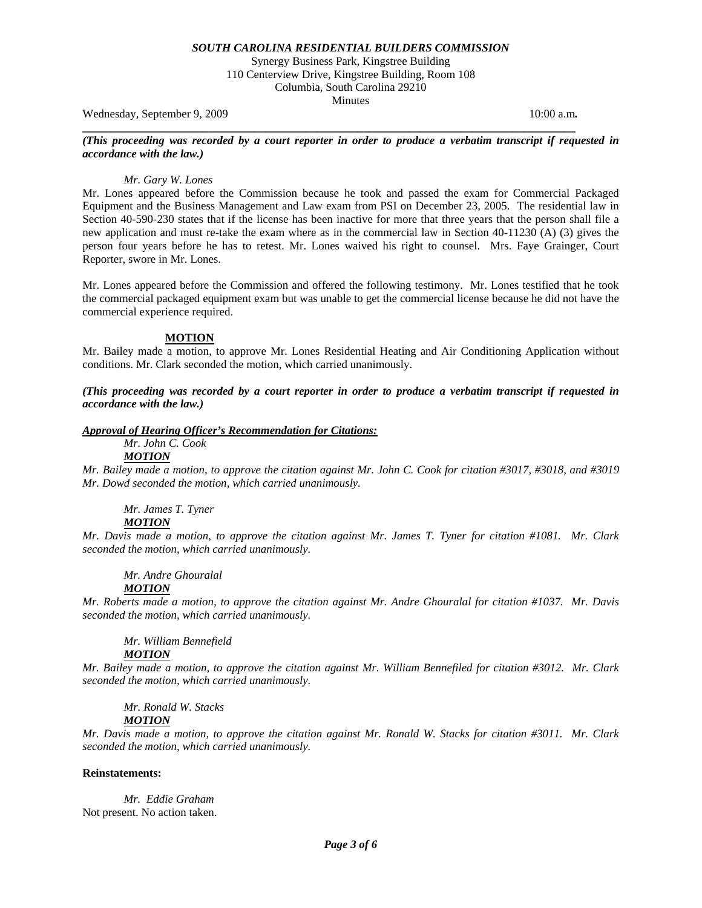Synergy Business Park, Kingstree Building 110 Centerview Drive, Kingstree Building, Room 108 Columbia, South Carolina 29210 Minutes

Wednesday, September 9, 2009 10:00 a.m. **10:00 a.m. 10:00 a.m. 10:00 a.m.** 

## *(This proceeding was recorded by a court reporter in order to produce a verbatim transcript if requested in accordance with the law.)*

**\_\_\_\_\_\_\_\_\_\_\_\_\_\_\_\_\_\_\_\_\_\_\_\_\_\_\_\_\_\_\_\_\_\_\_\_\_\_\_\_\_\_\_\_\_\_\_\_\_\_\_\_\_\_\_\_\_\_\_\_\_\_\_\_\_\_\_\_\_\_\_\_\_\_\_\_\_\_\_\_\_\_\_\_\_\_** 

## *Mr. Gary W. Lones*

Mr. Lones appeared before the Commission because he took and passed the exam for Commercial Packaged Equipment and the Business Management and Law exam from PSI on December 23, 2005. The residential law in Section 40-590-230 states that if the license has been inactive for more that three years that the person shall file a new application and must re-take the exam where as in the commercial law in Section 40-11230 (A) (3) gives the person four years before he has to retest. Mr. Lones waived his right to counsel. Mrs. Faye Grainger, Court Reporter, swore in Mr. Lones.

Mr. Lones appeared before the Commission and offered the following testimony. Mr. Lones testified that he took the commercial packaged equipment exam but was unable to get the commercial license because he did not have the commercial experience required.

## **MOTION**

Mr. Bailey made a motion, to approve Mr. Lones Residential Heating and Air Conditioning Application without conditions. Mr. Clark seconded the motion, which carried unanimously.

*(This proceeding was recorded by a court reporter in order to produce a verbatim transcript if requested in accordance with the law.)* 

## *Approval of Hearing Officer's Recommendation for Citations:*

 *Mr. John C. Cook* 

*MOTION*

*Mr. Bailey made a motion, to approve the citation against Mr. John C. Cook for citation #3017, #3018, and #3019 Mr. Dowd seconded the motion, which carried unanimously.* 

 *Mr. James T. Tyner MOTION*

*Mr. Davis made a motion, to approve the citation against Mr. James T. Tyner for citation #1081. Mr. Clark seconded the motion, which carried unanimously.* 

 *Mr. Andre Ghouralal* 

# *MOTION*

*Mr. Roberts made a motion, to approve the citation against Mr. Andre Ghouralal for citation #1037. Mr. Davis seconded the motion, which carried unanimously.* 

 *Mr. William Bennefield* 

# *MOTION*

*Mr. Bailey made a motion, to approve the citation against Mr. William Bennefiled for citation #3012. Mr. Clark seconded the motion, which carried unanimously.* 

 *Mr. Ronald W. Stacks* 

# *MOTION*

*Mr. Davis made a motion, to approve the citation against Mr. Ronald W. Stacks for citation #3011. Mr. Clark seconded the motion, which carried unanimously.* 

## **Reinstatements:**

 *Mr. Eddie Graham*  Not present. No action taken.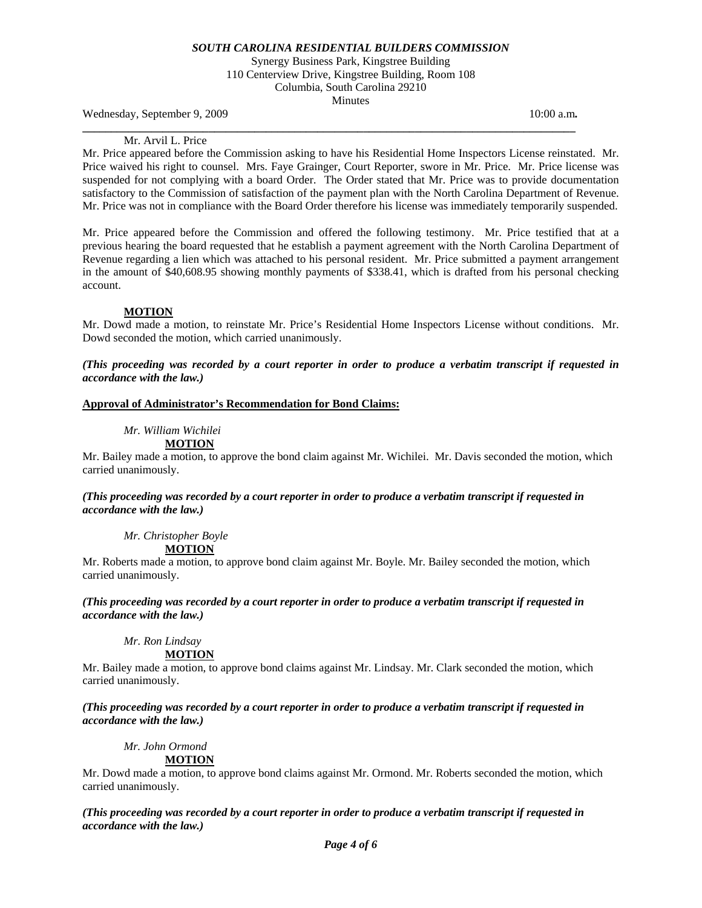Synergy Business Park, Kingstree Building 110 Centerview Drive, Kingstree Building, Room 108 Columbia, South Carolina 29210 Minutes

**\_\_\_\_\_\_\_\_\_\_\_\_\_\_\_\_\_\_\_\_\_\_\_\_\_\_\_\_\_\_\_\_\_\_\_\_\_\_\_\_\_\_\_\_\_\_\_\_\_\_\_\_\_\_\_\_\_\_\_\_\_\_\_\_\_\_\_\_\_\_\_\_\_\_\_\_\_\_\_\_\_\_\_\_\_\_** 

Wednesday, September 9, 2009 10:00 a.m. **10:00 a.m. 10:00 a.m. 10:00 a.m.** 

#### Mr. Arvil L. Price

Mr. Price appeared before the Commission asking to have his Residential Home Inspectors License reinstated. Mr. Price waived his right to counsel. Mrs. Faye Grainger, Court Reporter, swore in Mr. Price. Mr. Price license was suspended for not complying with a board Order. The Order stated that Mr. Price was to provide documentation satisfactory to the Commission of satisfaction of the payment plan with the North Carolina Department of Revenue. Mr. Price was not in compliance with the Board Order therefore his license was immediately temporarily suspended.

Mr. Price appeared before the Commission and offered the following testimony. Mr. Price testified that at a previous hearing the board requested that he establish a payment agreement with the North Carolina Department of Revenue regarding a lien which was attached to his personal resident. Mr. Price submitted a payment arrangement in the amount of \$40,608.95 showing monthly payments of \$338.41, which is drafted from his personal checking account.

## **MOTION**

Mr. Dowd made a motion, to reinstate Mr. Price's Residential Home Inspectors License without conditions. Mr. Dowd seconded the motion, which carried unanimously.

*(This proceeding was recorded by a court reporter in order to produce a verbatim transcript if requested in accordance with the law.)* 

## **Approval of Administrator's Recommendation for Bond Claims:**

*Mr. William Wichilei* 

# **MOTION**

Mr. Bailey made a motion, to approve the bond claim against Mr. Wichilei. Mr. Davis seconded the motion, which carried unanimously.

## *(This proceeding was recorded by a court reporter in order to produce a verbatim transcript if requested in accordance with the law.)*

 *Mr. Christopher Boyle* 

**MOTION**

Mr. Roberts made a motion, to approve bond claim against Mr. Boyle. Mr. Bailey seconded the motion, which carried unanimously.

*(This proceeding was recorded by a court reporter in order to produce a verbatim transcript if requested in accordance with the law.)* 

 *Mr. Ron Lindsay* 

**MOTION**

Mr. Bailey made a motion, to approve bond claims against Mr. Lindsay. Mr. Clark seconded the motion, which carried unanimously.

*(This proceeding was recorded by a court reporter in order to produce a verbatim transcript if requested in accordance with the law.)* 

 *Mr. John Ormond* 

# **MOTION**

Mr. Dowd made a motion, to approve bond claims against Mr. Ormond. Mr. Roberts seconded the motion, which carried unanimously.

*(This proceeding was recorded by a court reporter in order to produce a verbatim transcript if requested in accordance with the law.)*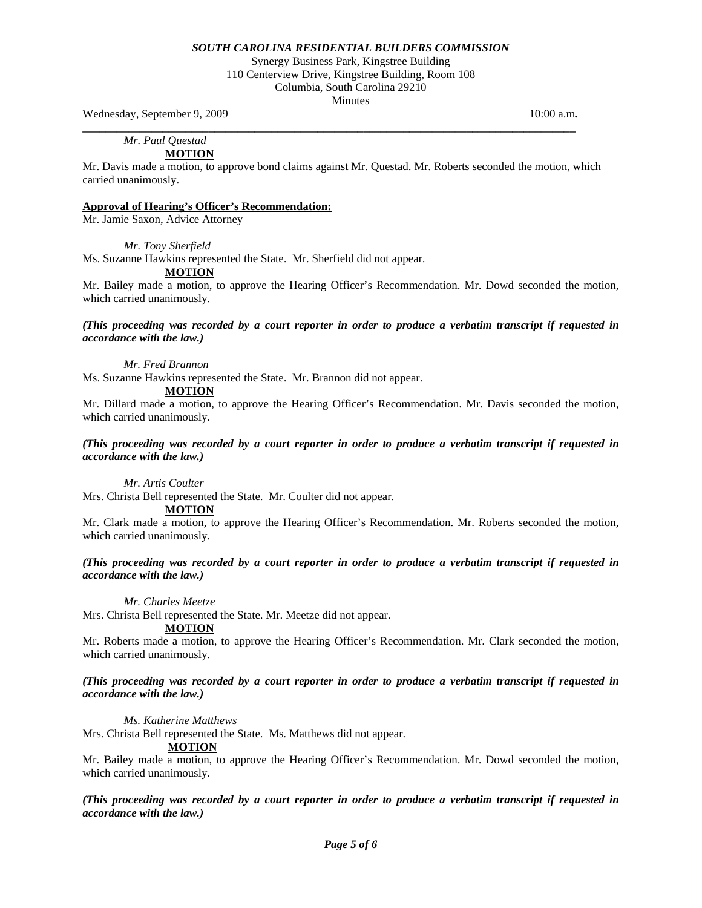Synergy Business Park, Kingstree Building 110 Centerview Drive, Kingstree Building, Room 108 Columbia, South Carolina 29210

Minutes

Wednesday, September 9, 2009 **10:00 a.m. 10:00 a.m. 10:00 a.m.** 

 *Mr. Paul Questad* 

# **MOTION**

Mr. Davis made a motion, to approve bond claims against Mr. Questad. Mr. Roberts seconded the motion, which carried unanimously.

**\_\_\_\_\_\_\_\_\_\_\_\_\_\_\_\_\_\_\_\_\_\_\_\_\_\_\_\_\_\_\_\_\_\_\_\_\_\_\_\_\_\_\_\_\_\_\_\_\_\_\_\_\_\_\_\_\_\_\_\_\_\_\_\_\_\_\_\_\_\_\_\_\_\_\_\_\_\_\_\_\_\_\_\_\_\_** 

# **Approval of Hearing's Officer's Recommendation:**

Mr. Jamie Saxon, Advice Attorney

*Mr. Tony Sherfield* 

Ms. Suzanne Hawkins represented the State. Mr. Sherfield did not appear.

# **MOTION**

Mr. Bailey made a motion, to approve the Hearing Officer's Recommendation. Mr. Dowd seconded the motion, which carried unanimously.

# *(This proceeding was recorded by a court reporter in order to produce a verbatim transcript if requested in accordance with the law.)*

 *Mr. Fred Brannon* 

Ms. Suzanne Hawkins represented the State. Mr. Brannon did not appear.

# **MOTION**

Mr. Dillard made a motion, to approve the Hearing Officer's Recommendation. Mr. Davis seconded the motion, which carried unanimously.

## *(This proceeding was recorded by a court reporter in order to produce a verbatim transcript if requested in accordance with the law.)*

 *Mr. Artis Coulter* 

Mrs. Christa Bell represented the State. Mr. Coulter did not appear.

**MOTION**

Mr. Clark made a motion, to approve the Hearing Officer's Recommendation. Mr. Roberts seconded the motion, which carried unanimously.

## *(This proceeding was recorded by a court reporter in order to produce a verbatim transcript if requested in accordance with the law.)*

 *Mr. Charles Meetze* 

Mrs. Christa Bell represented the State. Mr. Meetze did not appear.

## **MOTION**

Mr. Roberts made a motion, to approve the Hearing Officer's Recommendation. Mr. Clark seconded the motion, which carried unanimously.

# *(This proceeding was recorded by a court reporter in order to produce a verbatim transcript if requested in accordance with the law.)*

*Ms. Katherine Matthews* 

Mrs. Christa Bell represented the State. Ms. Matthews did not appear.

# **MOTION**

Mr. Bailey made a motion, to approve the Hearing Officer's Recommendation. Mr. Dowd seconded the motion, which carried unanimously.

# *(This proceeding was recorded by a court reporter in order to produce a verbatim transcript if requested in accordance with the law.)*